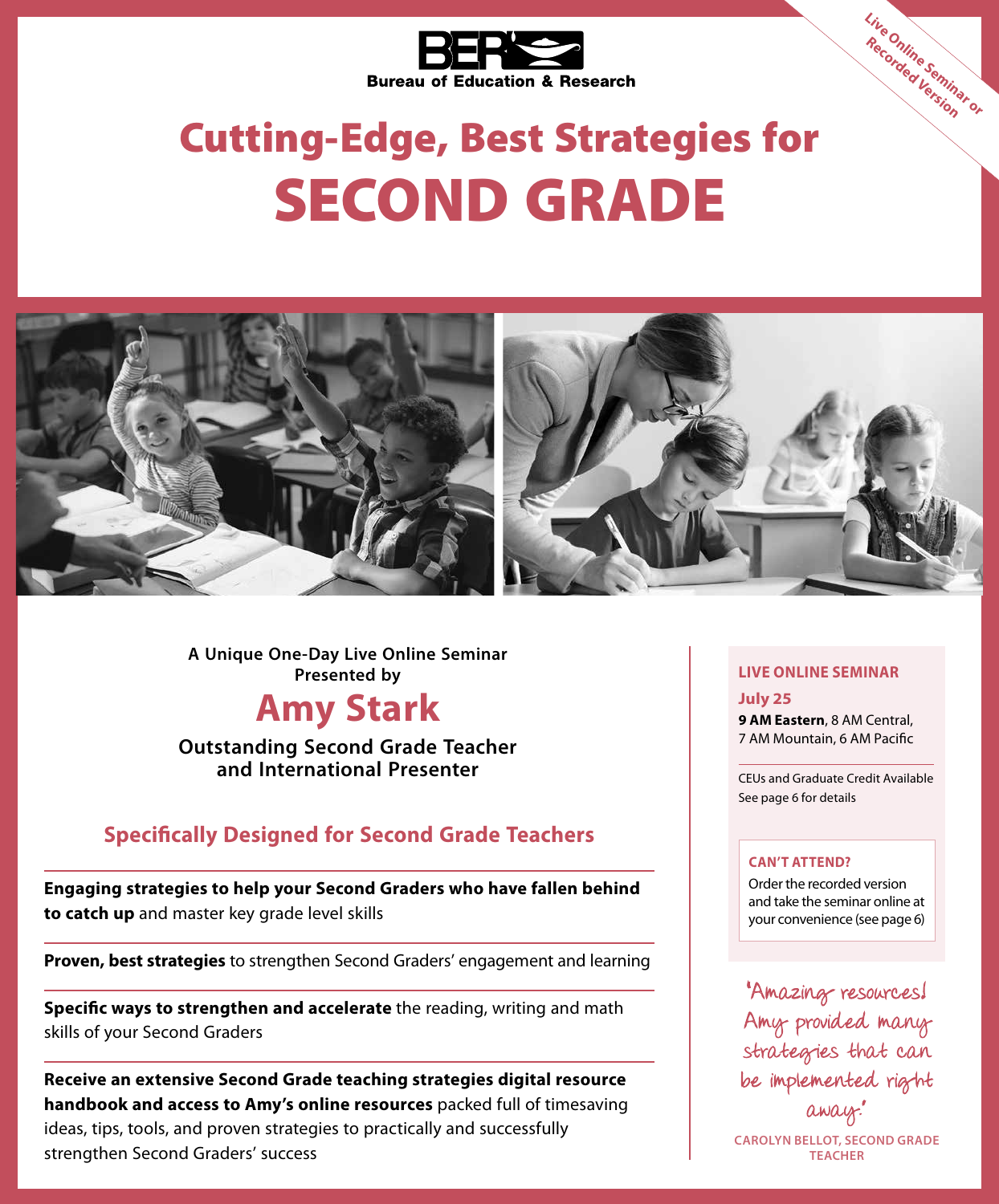

# Cutting-Edge, Best Strategies for SECOND GRADE



**A Unique One-Day Live Online Seminar Presented by LIVE ONLINE SEMINAR** 

**Amy Stark**

**Outstanding Second Grade Teacher and International Presenter**

#### **Specifically Designed for Second Grade Teachers**

**Engaging strategies to help your Second Graders who have fallen behind to catch up** and master key grade level skills

**Proven, best strategies** to strengthen Second Graders' engagement and learning

**Specific ways to strengthen and accelerate** the reading, writing and math skills of your Second Graders

**Receive an extensive Second Grade teaching strategies digital resource handbook and access to Amy's online resources** packed full of timesaving ideas, tips, tools, and proven strategies to practically and successfully strengthen Second Graders' success

**Live Online Seminar or Recorded Version**

**July 25**

**9 AM Eastern**, 8 AM Central, 7 AM Mountain, 6 AM Pacific

CEUs and Graduate Credit Available See page 6 for details

#### **CAN'T ATTEND?**

Order the recorded version and take the seminar online at your convenience (see page 6)

"Amazing resources! Amy provided many strategies that can be implemented right away."

**CAROLYN BELLOT, SECOND GRADE TEACHER**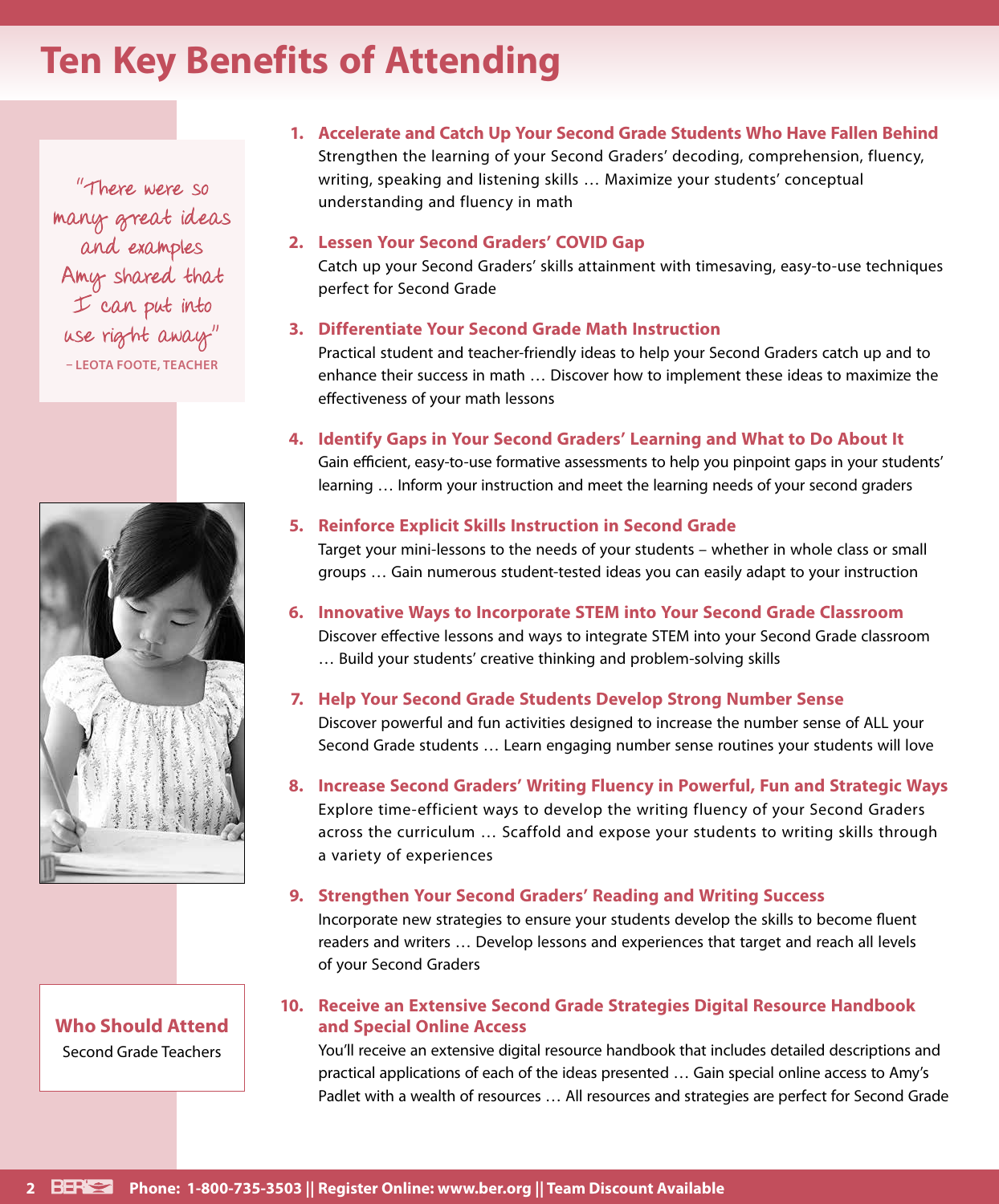### **Ten Key Benefits of Attending**

"There were so many great ideas and examples Amy shared that I can put into use right away" **– LEOTA FOOTE, TEACHER**



**Who Should Attend** Second Grade Teachers

**1. Accelerate and Catch Up Your Second Grade Students Who Have Fallen Behind** Strengthen the learning of your Second Graders' decoding, comprehension, fluency, writing, speaking and listening skills … Maximize your students' conceptual understanding and fluency in math

#### **2. Lessen Your Second Graders' COVID Gap**

Catch up your Second Graders' skills attainment with timesaving, easy-to-use techniques perfect for Second Grade

#### **3. Differentiate Your Second Grade Math Instruction**

Practical student and teacher-friendly ideas to help your Second Graders catch up and to enhance their success in math … Discover how to implement these ideas to maximize the effectiveness of your math lessons

#### **4. Identify Gaps in Your Second Graders' Learning and What to Do About It**

Gain efficient, easy-to-use formative assessments to help you pinpoint gaps in your students' learning … Inform your instruction and meet the learning needs of your second graders

#### **5. Reinforce Explicit Skills Instruction in Second Grade**

Target your mini-lessons to the needs of your students – whether in whole class or small groups … Gain numerous student-tested ideas you can easily adapt to your instruction

#### **6. Innovative Ways to Incorporate STEM into Your Second Grade Classroom**

Discover effective lessons and ways to integrate STEM into your Second Grade classroom … Build your students' creative thinking and problem-solving skills

#### **7. Help Your Second Grade Students Develop Strong Number Sense**

Discover powerful and fun activities designed to increase the number sense of ALL your Second Grade students … Learn engaging number sense routines your students will love

#### **8. Increase Second Graders' Writing Fluency in Powerful, Fun and Strategic Ways**

Explore time-efficient ways to develop the writing fluency of your Second Graders across the curriculum … Scaffold and expose your students to writing skills through a variety of experiences

#### **9. Strengthen Your Second Graders' Reading and Writing Success**

Incorporate new strategies to ensure your students develop the skills to become fluent readers and writers … Develop lessons and experiences that target and reach all levels of your Second Graders

#### **10. Receive an Extensive Second Grade Strategies Digital Resource Handbook and Special Online Access**

You'll receive an extensive digital resource handbook that includes detailed descriptions and practical applications of each of the ideas presented … Gain special online access to Amy's Padlet with a wealth of resources … All resources and strategies are perfect for Second Grade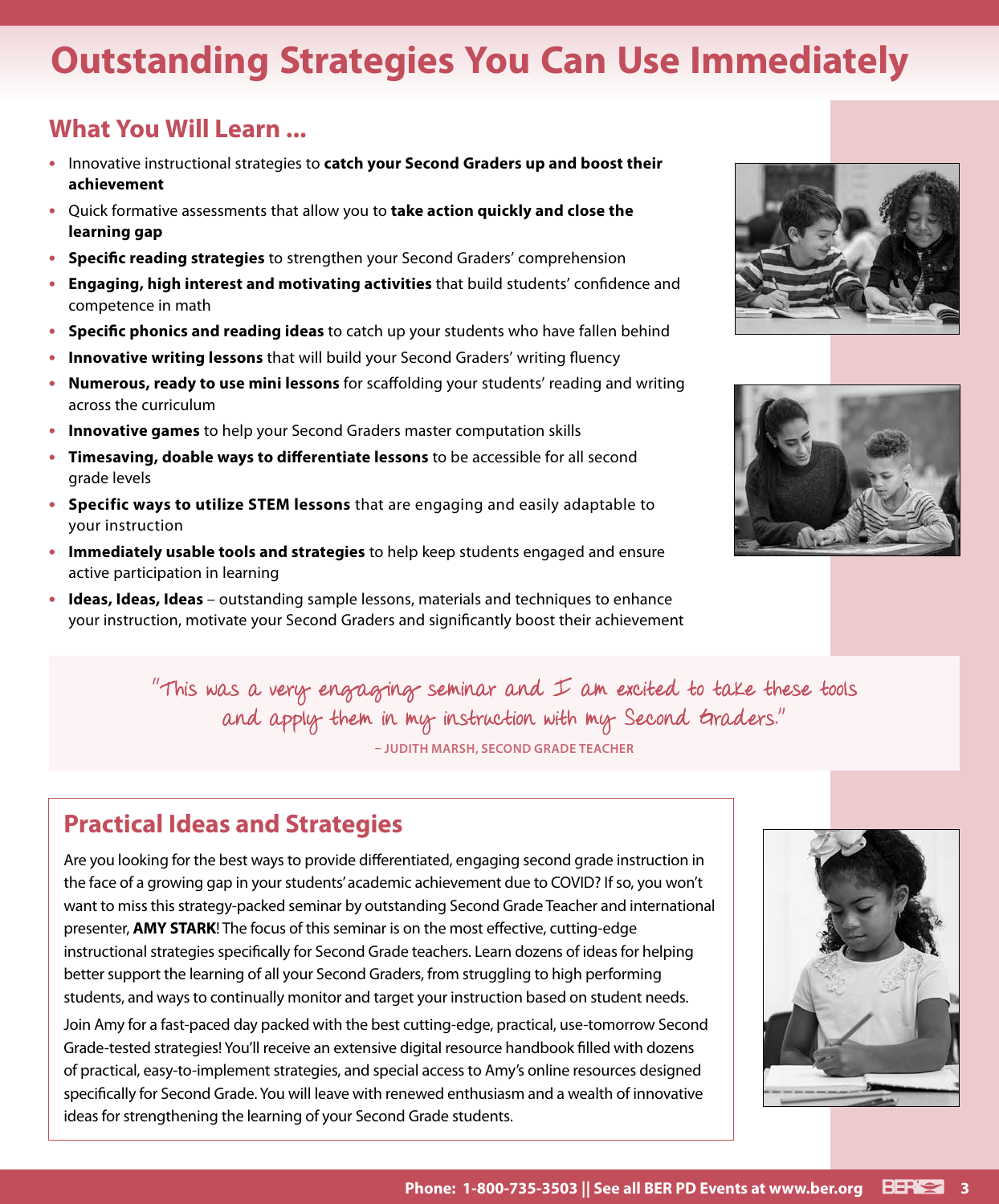## **Outstanding Strategies You Can Use Immediately**

#### **What You Will Learn ...**

- **•** Innovative instructional strategies to **catch your Second Graders up and boost their achievement**
- **•** Quick formative assessments that allow you to **take action quickly and close the learning gap**
- **• Specific reading strategies** to strengthen your Second Graders' comprehension
- **• Engaging, high interest and motivating activities** that build students' confidence and competence in math
- **• Specific phonics and reading ideas** to catch up your students who have fallen behind
- **• Innovative writing lessons** that will build your Second Graders' writing fluency
- **• Numerous, ready to use mini lessons** for scaffolding your students' reading and writing across the curriculum
- **• Innovative games** to help your Second Graders master computation skills
- **• Timesaving, doable ways to differentiate lessons** to be accessible for all second grade levels
- **• Specific ways to utilize STEM lessons** that are engaging and easily adaptable to your instruction
- **• Immediately usable tools and strategies** to help keep students engaged and ensure active participation in learning
- **• Ideas, Ideas, Ideas**  outstanding sample lessons, materials and techniques to enhance your instruction, motivate your Second Graders and significantly boost their achievement





"This was a very engaging seminar and I am excited to take these tools and apply them in my instruction with my Second Graders." **– JUDITH MARSH, SECOND GRADE TEACHER**

#### **Practical Ideas and Strategies**

Are you looking for the best ways to provide differentiated, engaging second grade instruction in the face of a growing gap in your students' academic achievement due to COVID? If so, you won't want to miss this strategy-packed seminar by outstanding Second Grade Teacher and international presenter, **AMY STARK**! The focus of this seminar is on the most effective, cutting-edge instructional strategies specifically for Second Grade teachers. Learn dozens of ideas for helping better support the learning of all your Second Graders, from struggling to high performing students, and ways to continually monitor and target your instruction based on student needs.

Join Amy for a fast-paced day packed with the best cutting-edge, practical, use-tomorrow Second Grade-tested strategies! You'll receive an extensive digital resource handbook filled with dozens of practical, easy-to-implement strategies, and special access to Amy's online resources designed specifically for Second Grade. You will leave with renewed enthusiasm and a wealth of innovative ideas for strengthening the learning of your Second Grade students.

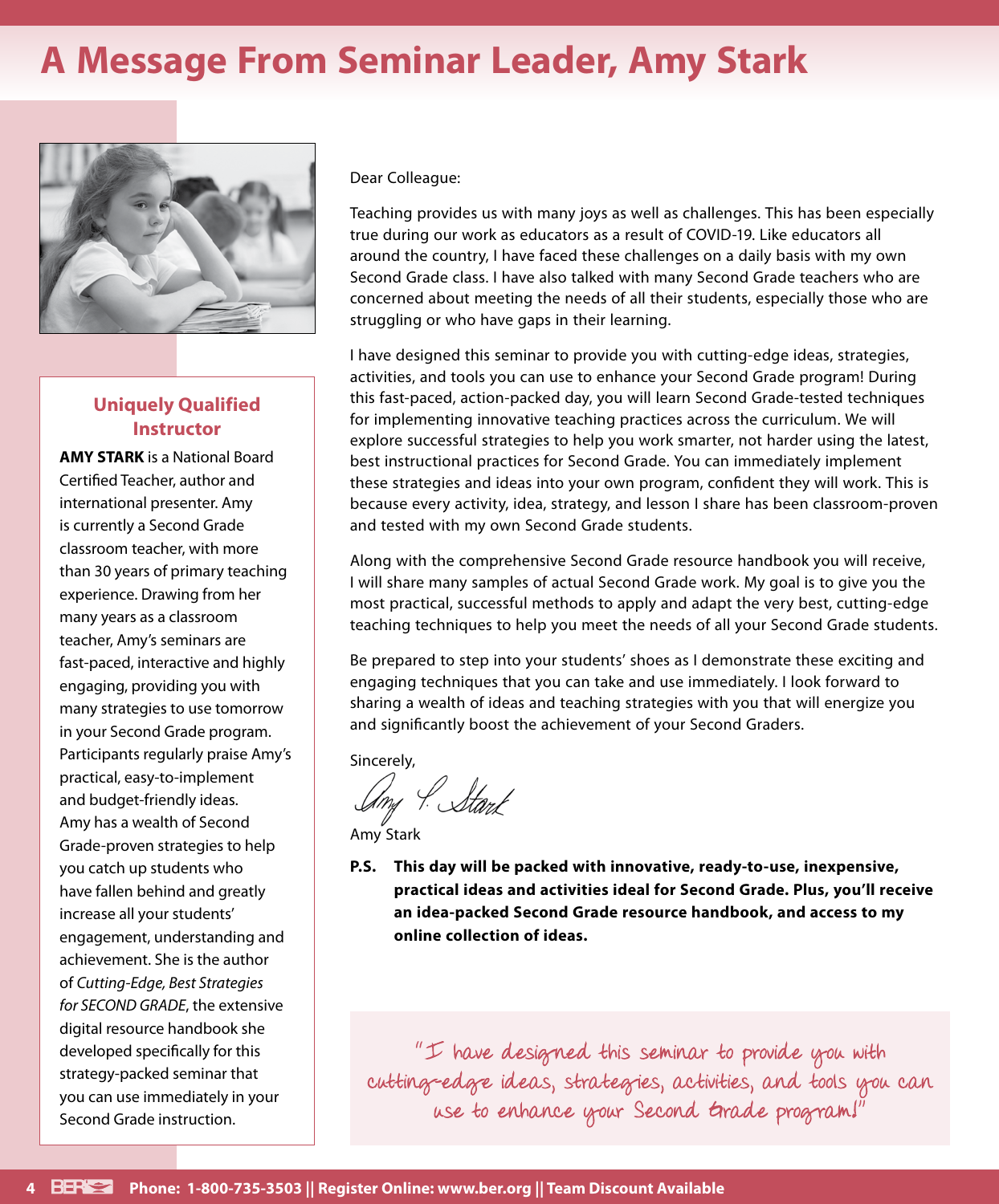### **A Message From Seminar Leader, Amy Stark**



#### **Uniquely Qualified Instructor**

**AMY STARK** is a National Board Certified Teacher, author and international presenter. Amy is currently a Second Grade classroom teacher, with more than 30 years of primary teaching experience. Drawing from her many years as a classroom teacher, Amy's seminars are fast-paced, interactive and highly engaging, providing you with many strategies to use tomorrow in your Second Grade program. Participants regularly praise Amy's practical, easy-to-implement and budget-friendly ideas. Amy has a wealth of Second Grade-proven strategies to help you catch up students who have fallen behind and greatly increase all your students' engagement, understanding and achievement. She is the author of *Cutting-Edge, Best Strategies for SECOND GRADE*, the extensive digital resource handbook she developed specifically for this strategy-packed seminar that you can use immediately in your Second Grade instruction.

Dear Colleague:

Teaching provides us with many joys as well as challenges. This has been especially true during our work as educators as a result of COVID-19. Like educators all around the country, I have faced these challenges on a daily basis with my own Second Grade class. I have also talked with many Second Grade teachers who are concerned about meeting the needs of all their students, especially those who are struggling or who have gaps in their learning.

I have designed this seminar to provide you with cutting-edge ideas, strategies, activities, and tools you can use to enhance your Second Grade program! During this fast-paced, action-packed day, you will learn Second Grade-tested techniques for implementing innovative teaching practices across the curriculum. We will explore successful strategies to help you work smarter, not harder using the latest, best instructional practices for Second Grade. You can immediately implement these strategies and ideas into your own program, confident they will work. This is because every activity, idea, strategy, and lesson I share has been classroom-proven and tested with my own Second Grade students.

Along with the comprehensive Second Grade resource handbook you will receive, I will share many samples of actual Second Grade work. My goal is to give you the most practical, successful methods to apply and adapt the very best, cutting-edge teaching techniques to help you meet the needs of all your Second Grade students.

Be prepared to step into your students' shoes as I demonstrate these exciting and engaging techniques that you can take and use immediately. I look forward to sharing a wealth of ideas and teaching strategies with you that will energize you and significantly boost the achievement of your Second Graders.

Sincerely,

Any P. Stark

Amy Stark

**P.S. This day will be packed with innovative, ready-to-use, inexpensive, practical ideas and activities ideal for Second Grade. Plus, you'll receive an idea-packed Second Grade resource handbook, and access to my online collection of ideas.**

"I have designed this seminar to provide you with cutting-edge ideas, strategies, activities, and tools you can use to enhance your Second Grade program!"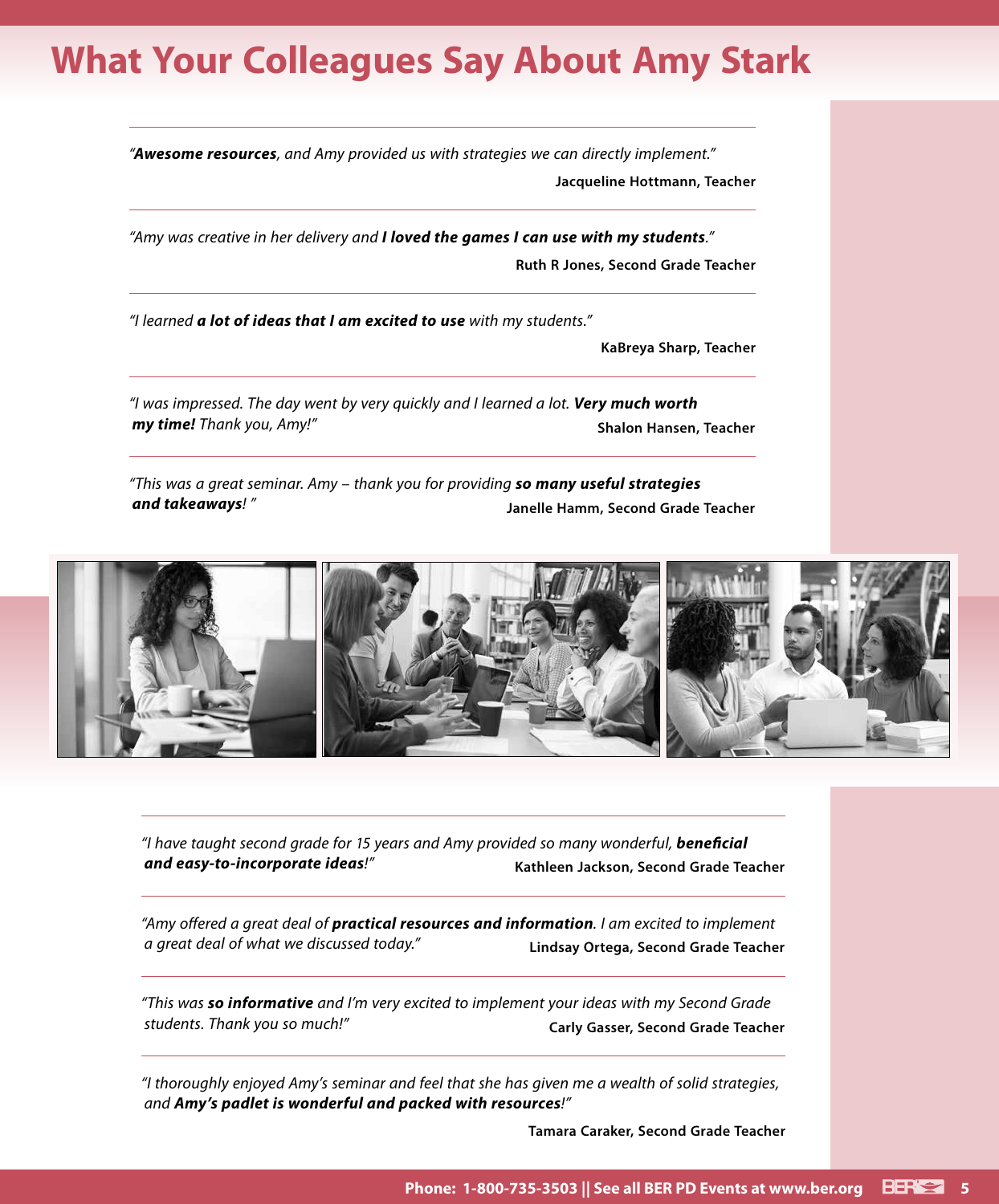### **What Your Colleagues Say About Amy Stark**

*"Awesome resources, and Amy provided us with strategies we can directly implement."* **Jacqueline Hottmann, Teacher**

*"Amy was creative in her delivery and I loved the games I can use with my students."* **Ruth R Jones, Second Grade Teacher**

*"I learned a lot of ideas that I am excited to use with my students."*

**KaBreya Sharp, Teacher**

*"I was impressed. The day went by very quickly and I learned a lot. Very much worth my time! Thank you, Amy!"* **Shalon Hansen, Teacher**

*"This was a great seminar. Amy – thank you for providing so many useful strategies and takeaways! "* **Janelle Hamm, Second Grade Teacher**



*"I have taught second grade for 15 years and Amy provided so many wonderful, beneficial and easy-to-incorporate ideas!"* **Kathleen Jackson, Second Grade Teacher**

*"Amy offered a great deal of practical resources and information. I am excited to implement a great deal of what we discussed today."* **Lindsay Ortega, Second Grade Teacher**

*"This was so informative and I'm very excited to implement your ideas with my Second Grade students. Thank you so much!"* **Carly Gasser, Second Grade Teacher**

*"I thoroughly enjoyed Amy's seminar and feel that she has given me a wealth of solid strategies, and Amy's padlet is wonderful and packed with resources!"*

**Tamara Caraker, Second Grade Teacher**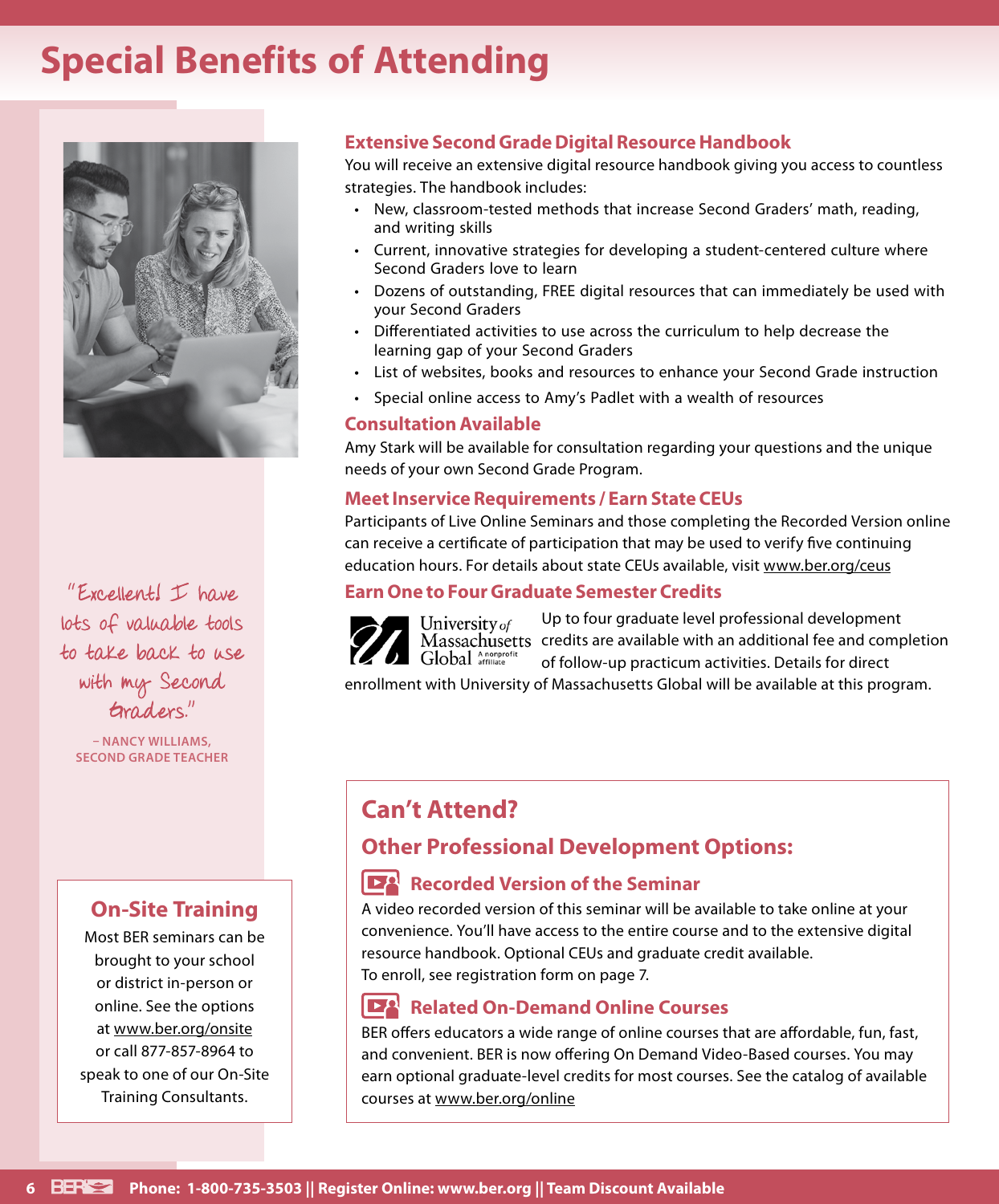### **Special Benefits of Attending**



"Excellent! I have lots of valuable tools to take back to use with my Second Graders."

**– NANCY WILLIAMS, SECOND GRADE TEACHER**

#### **On-Site Training**

Most BER seminars can be brought to your school or district in-person or online. See the options at www.ber.org/onsite or call 877-857-8964 to speak to one of our On-Site Training Consultants.

#### **Extensive Second Grade Digital Resource Handbook**

You will receive an extensive digital resource handbook giving you access to countless strategies. The handbook includes:

- New, classroom-tested methods that increase Second Graders' math, reading, and writing skills
- Current, innovative strategies for developing a student-centered culture where Second Graders love to learn
- Dozens of outstanding, FREE digital resources that can immediately be used with your Second Graders
- Differentiated activities to use across the curriculum to help decrease the learning gap of your Second Graders
- List of websites, books and resources to enhance your Second Grade instruction
- Special online access to Amy's Padlet with a wealth of resources

#### **Consultation Available**

Amy Stark will be available for consultation regarding your questions and the unique needs of your own Second Grade Program.

#### **Meet Inservice Requirements / Earn State CEUs**

Participants of Live Online Seminars and those completing the Recorded Version online can receive a certificate of participation that may be used to verify five continuing education hours. For details about state CEUs available, visit www.ber.org/ceus

#### **Earn One to Four Graduate Semester Credits**



Up to four graduate level professional development Massachusetts credits are available with an additional fee and completion of follow-up practicum activities. Details for direct

enrollment with University of Massachusetts Global will be available at this program.

#### **Can't Attend?**

#### **Other Professional Development Options:**

#### **Recorded Version of the Seminar**

A video recorded version of this seminar will be available to take online at your convenience. You'll have access to the entire course and to the extensive digital resource handbook. Optional CEUs and graduate credit available. To enroll, see registration form on page 7.

#### **Related On-Demand Online Courses**

BER offers educators a wide range of online courses that are affordable, fun, fast, and convenient. BER is now offering On Demand Video-Based courses. You may earn optional graduate-level credits for most courses. See the catalog of available courses at www.ber.org/online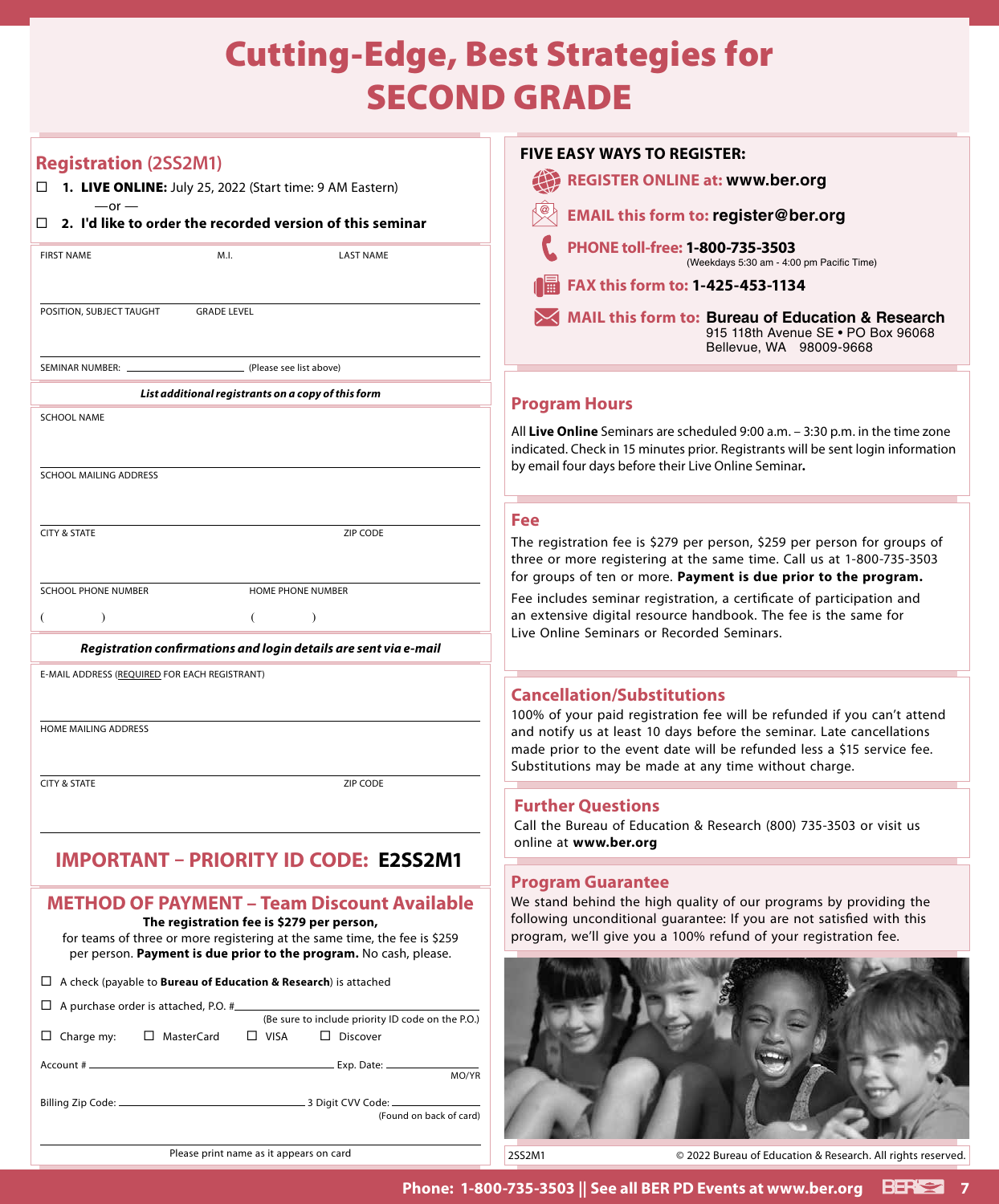### Cutting-Edge, Best Strategies for SECOND GRADE

| <b>Registration (2SS2M1)</b>                                                                                                                                                                                                                      | <b>FIVE EASY WAYS TO REGISTER:</b>                                                                                                                                                                                         |
|---------------------------------------------------------------------------------------------------------------------------------------------------------------------------------------------------------------------------------------------------|----------------------------------------------------------------------------------------------------------------------------------------------------------------------------------------------------------------------------|
| □ 1. LIVE ONLINE: July 25, 2022 (Start time: 9 AM Eastern)                                                                                                                                                                                        | <b>REGISTER ONLINE at: www.ber.org</b>                                                                                                                                                                                     |
| $-$ or $-$<br>2. I'd like to order the recorded version of this seminar<br>П                                                                                                                                                                      | <b>EMAIL this form to: register@ber.org</b>                                                                                                                                                                                |
| <b>FIRST NAME</b><br>M.I.<br><b>LAST NAME</b>                                                                                                                                                                                                     | PHONE toll-free: 1-800-735-3503<br>(Weekdays 5:30 am - 4:00 pm Pacific Time)                                                                                                                                               |
|                                                                                                                                                                                                                                                   | FAX this form to: 1-425-453-1134                                                                                                                                                                                           |
| POSITION, SUBJECT TAUGHT<br><b>GRADE LEVEL</b>                                                                                                                                                                                                    | MAIL this form to: Bureau of Education & Research<br>915 118th Avenue SE . PO Box 96068<br>Bellevue, WA 98009-9668                                                                                                         |
| SEMINAR NUMBER: _<br>(Please see list above)                                                                                                                                                                                                      |                                                                                                                                                                                                                            |
| List additional registrants on a copy of this form                                                                                                                                                                                                | <b>Program Hours</b>                                                                                                                                                                                                       |
| <b>SCHOOL NAME</b><br><b>SCHOOL MAILING ADDRESS</b>                                                                                                                                                                                               | All Live Online Seminars are scheduled 9:00 a.m. - 3:30 p.m. in the time zone<br>indicated. Check in 15 minutes prior. Registrants will be sent login information<br>by email four days before their Live Online Seminar.  |
|                                                                                                                                                                                                                                                   |                                                                                                                                                                                                                            |
|                                                                                                                                                                                                                                                   | Fee                                                                                                                                                                                                                        |
| <b>CITY &amp; STATE</b><br>ZIP CODE                                                                                                                                                                                                               | The registration fee is \$279 per person, \$259 per person for groups of<br>three or more registering at the same time. Call us at 1-800-735-3503<br>for groups of ten or more. Payment is due prior to the program.       |
| <b>SCHOOL PHONE NUMBER</b><br>HOME PHONE NUMBER                                                                                                                                                                                                   | Fee includes seminar registration, a certificate of participation and                                                                                                                                                      |
| $\rightarrow$<br>$\lambda$<br>- 1                                                                                                                                                                                                                 | an extensive digital resource handbook. The fee is the same for<br>Live Online Seminars or Recorded Seminars.                                                                                                              |
| Registration confirmations and login details are sent via e-mail                                                                                                                                                                                  |                                                                                                                                                                                                                            |
| E-MAIL ADDRESS (REQUIRED FOR EACH REGISTRANT)                                                                                                                                                                                                     | <b>Cancellation/Substitutions</b>                                                                                                                                                                                          |
| HOME MAILING ADDRESS                                                                                                                                                                                                                              | 100% of your paid registration fee will be refunded if you can't attend<br>and notify us at least 10 days before the seminar. Late cancellations<br>made prior to the event date will be refunded less a \$15 service fee. |
| <b>CITY &amp; STATE</b><br>ZIP CODE                                                                                                                                                                                                               | Substitutions may be made at any time without charge.                                                                                                                                                                      |
|                                                                                                                                                                                                                                                   | <b>Further Questions</b><br>Call the Bureau of Education & Research (800) 735-3503 or visit us<br>online at www.ber.org                                                                                                    |
| <b>IMPORTANT - PRIORITY ID CODE: E2SS2M1</b>                                                                                                                                                                                                      |                                                                                                                                                                                                                            |
|                                                                                                                                                                                                                                                   | <b>Program Guarantee</b>                                                                                                                                                                                                   |
| <b>METHOD OF PAYMENT - Team Discount Available</b><br>The registration fee is \$279 per person,<br>for teams of three or more registering at the same time, the fee is \$259<br>per person. Payment is due prior to the program. No cash, please. | We stand behind the high quality of our programs by providing the<br>following unconditional guarantee: If you are not satisfied with this<br>program, we'll give you a 100% refund of your registration fee.              |
| $\Box$ A check (payable to <b>Bureau of Education &amp; Research</b> ) is attached                                                                                                                                                                |                                                                                                                                                                                                                            |
| $\Box$ A purchase order is attached, P.O. # $\Box$<br>(Be sure to include priority ID code on the P.O.)                                                                                                                                           |                                                                                                                                                                                                                            |
| □ MasterCard<br>$\Box$ VISA<br>$\Box$ Discover<br>$\Box$ Charge my:                                                                                                                                                                               |                                                                                                                                                                                                                            |
| MO/YR                                                                                                                                                                                                                                             |                                                                                                                                                                                                                            |
| (Found on back of card)                                                                                                                                                                                                                           |                                                                                                                                                                                                                            |
| Please print name as it appears on card                                                                                                                                                                                                           | 2SS2M1<br>© 2022 Bureau of Education & Research. All rights reserved.                                                                                                                                                      |
|                                                                                                                                                                                                                                                   |                                                                                                                                                                                                                            |